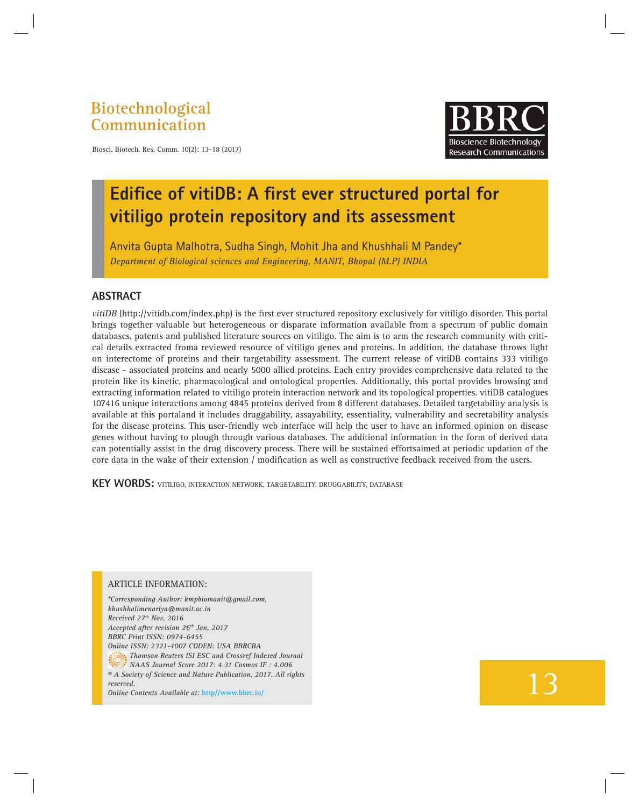**Biotechnological Communication**



Biosci. Biotech. Res. Comm. 10(2): 13-18 (2017)

## **Edifice of vitiDB: A first ever structured portal for vitiligo protein repository and its assessment**

Anvita Gupta Malhotra, Sudha Singh, Mohit Jha and Khushhali M Pandey\* *Department of Biological sciences and Engineering, MANIT, Bhopal (M.P) INDIA*

### **ABSTRACT**

*vitiDB* (http://vitidb.com/index.php) is the first ever structured repository exclusively for vitiligo disorder. This portal brings together valuable but heterogeneous or disparate information available from a spectrum of public domain databases, patents and published literature sources on vitiligo. The aim is to arm the research community with critical details extracted froma reviewed resource of vitiligo genes and proteins. In addition, the database throws light on interectome of proteins and their targetability assessment. The current release of vitiDB contains 333 vitiligo disease - associated proteins and nearly 5000 allied proteins. Each entry provides comprehensive data related to the protein like its kinetic, pharmacological and ontological properties. Additionally, this portal provides browsing and extracting information related to vitiligo protein interaction network and its topological properties. vitiDB catalogues 107416 unique interactions among 4845 proteins derived from 8 different databases. Detailed targetability analysis is available at this portaland it includes druggability, assayability, essentiality, vulnerability and secretability analysis for the disease proteins. This user-friendly web interface will help the user to have an informed opinion on disease genes without having to plough through various databases. The additional information in the form of derived data can potentially assist in the drug discovery process. There will be sustained effortsaimed at periodic updation of the core data in the wake of their extension / modification as well as constructive feedback received from the users.

**KEY WORDS:** VITILIGO, INTERACTION NETWORK, TARGETABILITY, DRUGGABILITY, DATABASE

#### ARTICLE INFORMATION:

*\*Corresponding Author: kmpbiomanit@gmail.com, khushhalimenariya@manit.ac.in Received 27th Nov, 2016 Accepted after revision 26th Jan, 2017 BBRC Print ISSN: 0974-6455 Online ISSN: 2321-4007 CODEN: USA BBRCBA Thomson Reuters ISI ESC and Crossref Indexed Journal NAAS Journal Score 2017: 4.31 Cosmos IF : 4.006 © A Society of Science and Nature Publication, 2017. All rights reserved. Online Contents Available at:* **http//www.bbrc.in/**

# 13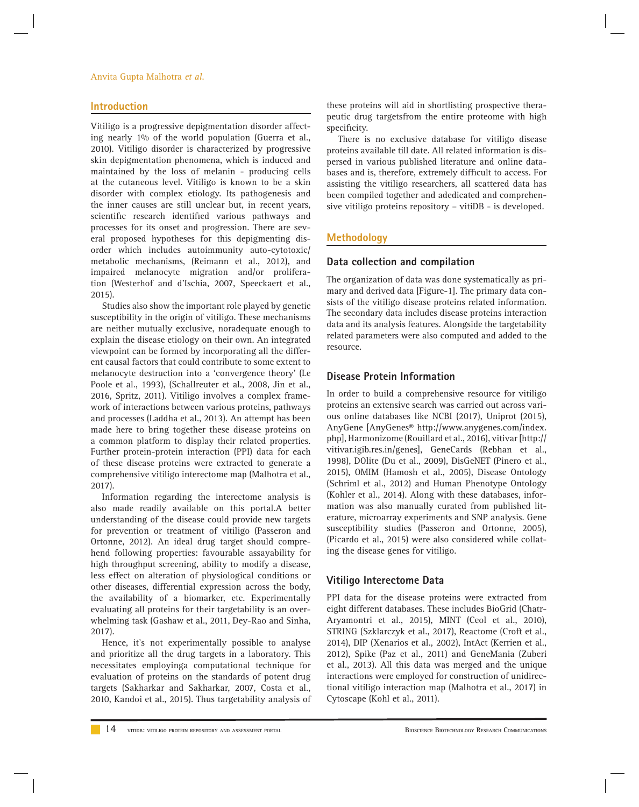#### Anvita Gupta Malhotra *et al.*

#### **Introduction**

Vitiligo is a progressive depigmentation disorder affecting nearly 1% of the world population (Guerra et al., 2010). Vitiligo disorder is characterized by progressive skin depigmentation phenomena, which is induced and maintained by the loss of melanin - producing cells at the cutaneous level. Vitiligo is known to be a skin disorder with complex etiology. Its pathogenesis and the inner causes are still unclear but, in recent years, scientific research identified various pathways and processes for its onset and progression. There are several proposed hypotheses for this depigmenting disorder which includes autoimmunity auto-cytotoxic/ metabolic mechanisms, (Reimann et al., 2012), and impaired melanocyte migration and/or proliferation (Westerhof and d'Ischia, 2007, Speeckaert et al., 2015).

Studies also show the important role played by genetic susceptibility in the origin of vitiligo. These mechanisms are neither mutually exclusive, noradequate enough to explain the disease etiology on their own. An integrated viewpoint can be formed by incorporating all the different causal factors that could contribute to some extent to melanocyte destruction into a 'convergence theory' (Le Poole et al., 1993), (Schallreuter et al., 2008, Jin et al., 2016, Spritz, 2011). Vitiligo involves a complex framework of interactions between various proteins, pathways and processes (Laddha et al., 2013). An attempt has been made here to bring together these disease proteins on a common platform to display their related properties. Further protein-protein interaction (PPI) data for each of these disease proteins were extracted to generate a comprehensive vitiligo interectome map (Malhotra et al., 2017).

Information regarding the interectome analysis is also made readily available on this portal.A better understanding of the disease could provide new targets for prevention or treatment of vitiligo (Passeron and Ortonne, 2012). An ideal drug target should comprehend following properties: favourable assayability for high throughput screening, ability to modify a disease, less effect on alteration of physiological conditions or other diseases, differential expression across the body, the availability of a biomarker, etc. Experimentally evaluating all proteins for their targetability is an overwhelming task (Gashaw et al., 2011, Dey-Rao and Sinha, 2017).

Hence, it's not experimentally possible to analyse and prioritize all the drug targets in a laboratory. This necessitates employinga computational technique for evaluation of proteins on the standards of potent drug targets (Sakharkar and Sakharkar, 2007, Costa et al., 2010, Kandoi et al., 2015). Thus targetability analysis of these proteins will aid in shortlisting prospective therapeutic drug targetsfrom the entire proteome with high specificity.

There is no exclusive database for vitiligo disease proteins available till date. All related information is dispersed in various published literature and online databases and is, therefore, extremely difficult to access. For assisting the vitiligo researchers, all scattered data has been compiled together and adedicated and comprehensive vitiligo proteins repository – vitiDB - is developed.

#### **Methodology**

#### **Data collection and compilation**

The organization of data was done systematically as primary and derived data [Figure-1]. The primary data consists of the vitiligo disease proteins related information. The secondary data includes disease proteins interaction data and its analysis features. Alongside the targetability related parameters were also computed and added to the resource.

#### **Disease Protein Information**

In order to build a comprehensive resource for vitiligo proteins an extensive search was carried out across various online databases like NCBI (2017), Uniprot (2015), AnyGene [AnyGenes® http://www.anygenes.com/index. php], Harmonizome (Rouillard et al., 2016), vitivar [http:// vitivar.igib.res.in/genes], GeneCards (Rebhan et al., 1998), DOlite (Du et al., 2009), DisGeNET (Pinero et al., 2015), OMIM (Hamosh et al., 2005), Disease Ontology (Schriml et al., 2012) and Human Phenotype Ontology (Kohler et al., 2014). Along with these databases, information was also manually curated from published literature, microarray experiments and SNP analysis. Gene susceptibility studies (Passeron and Ortonne, 2005), (Picardo et al., 2015) were also considered while collating the disease genes for vitiligo.

#### **Vitiligo Interectome Data**

PPI data for the disease proteins were extracted from eight different databases. These includes BioGrid (Chatr-Aryamontri et al., 2015), MINT (Ceol et al., 2010), STRING (Szklarczyk et al., 2017), Reactome (Croft et al., 2014), DIP (Xenarios et al., 2002), IntAct (Kerrien et al., 2012), Spike (Paz et al., 2011) and GeneMania (Zuberi et al., 2013). All this data was merged and the unique interactions were employed for construction of unidirectional vitiligo interaction map (Malhotra et al., 2017) in Cytoscape (Kohl et al., 2011).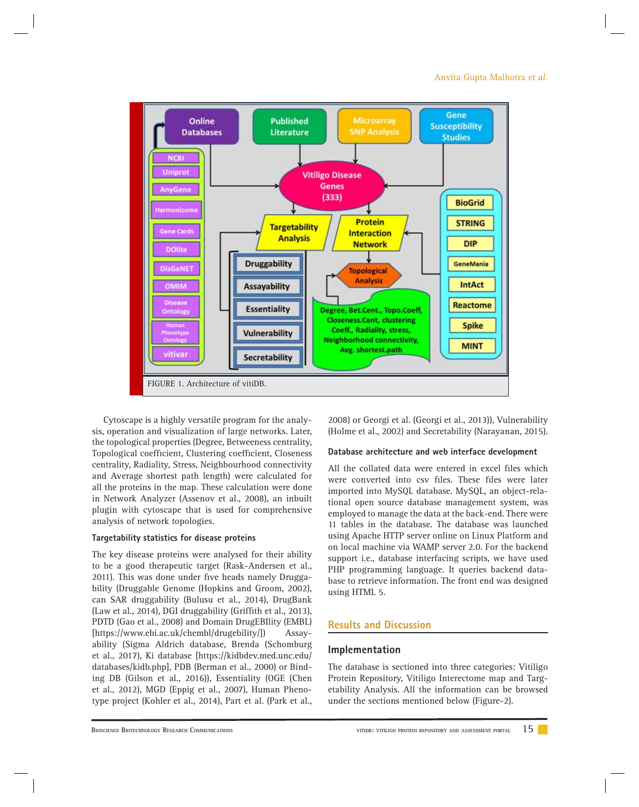

Cytoscape is a highly versatile program for the analysis, operation and visualization of large networks. Later, the topological properties (Degree, Betweeness centrality, Topological coefficient, Clustering coefficient, Closeness centrality, Radiality, Stress, Neighbourhood connectivity and Average shortest path length) were calculated for all the proteins in the map. These calculation were done in Network Analyzer (Assenov et al., 2008), an inbuilt plugin with cytoscape that is used for comprehensive analysis of network topologies.

#### **Targetability statistics for disease proteins**

The key disease proteins were analysed for their ability to be a good therapeutic target (Rask-Andersen et al., 2011). This was done under five heads namely Druggability (Druggable Genome (Hopkins and Groom, 2002), can SAR druggability (Bulusu et al., 2014), DrugBank (Law et al., 2014), DGI druggability (Griffith et al., 2013), PDTD (Gao et al., 2008) and Domain DrugEBIlity (EMBL) [https://www.ebi.ac.uk/chembl/drugebility/]) Assayability (Sigma Aldrich database, Brenda (Schomburg et al., 2017), Ki database [https://kidbdev.med.unc.edu/ databases/kidb.php], PDB (Berman et al., 2000) or Binding DB (Gilson et al., 2016)), Essentiality (OGE (Chen et al., 2012), MGD (Eppig et al., 2007), Human Phenotype project (Kohler et al., 2014), Part et al. (Park et al.,

2008) or Georgi et al. (Georgi et al., 2013)), Vulnerability (Holme et al., 2002) and Secretability (Narayanan, 2015).

#### **Database architecture and web interface development**

All the collated data were entered in excel files which were converted into csv files. These files were later imported into MySQL database. MySQL, an object-relational open source database management system, was employed to manage the data at the back-end. There were 11 tables in the database. The database was launched using Apache HTTP server online on Linux Platform and on local machine via WAMP server 2.0. For the backend support i.e., database interfacing scripts, we have used PHP programming language. It queries backend database to retrieve information. The front end was designed using HTML 5.

#### **Results and Discussion**

#### **Implementation**

The database is sectioned into three categories: Vitiligo Protein Repository, Vitiligo Interectome map and Targetability Analysis. All the information can be browsed under the sections mentioned below (Figure-2).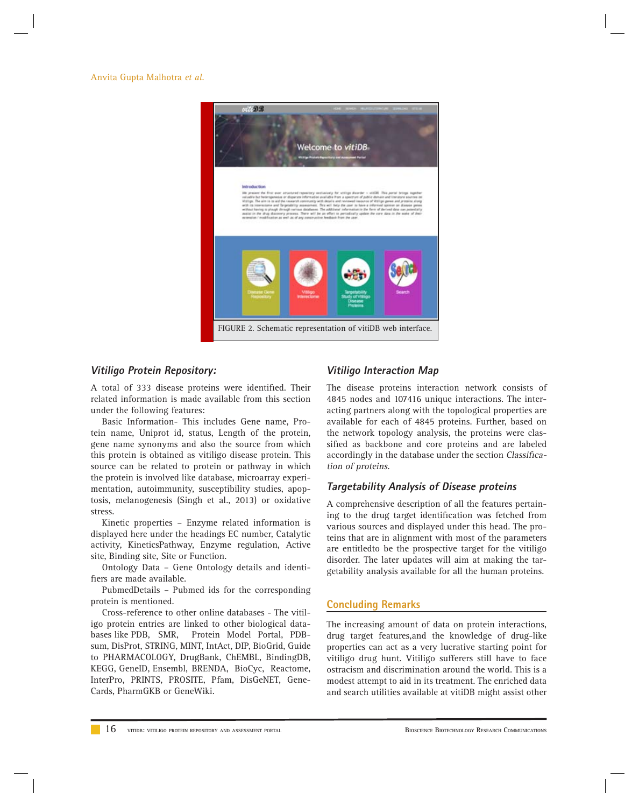#### Anvita Gupta Malhotra *et al.*



#### **Vitiligo Protein Repository:**

A total of 333 disease proteins were identified. Their related information is made available from this section under the following features:

Basic Information- This includes Gene name, Protein name, Uniprot id, status, Length of the protein, gene name synonyms and also the source from which this protein is obtained as vitiligo disease protein. This source can be related to protein or pathway in which the protein is involved like database, microarray experimentation, autoimmunity, susceptibility studies, apoptosis, melanogenesis (Singh et al., 2013) or oxidative stress.

Kinetic properties – Enzyme related information is displayed here under the headings EC number, Catalytic activity, KineticsPathway, Enzyme regulation, Active site, Binding site, Site or Function.

Ontology Data – Gene Ontology details and identifiers are made available.

PubmedDetails – Pubmed ids for the corresponding protein is mentioned.

Cross-reference to other online databases - The vitiligo protein entries are linked to other biological databases like PDB, SMR, Protein Model Portal, PDBsum, DisProt, STRING, MINT, IntAct, DIP, BioGrid, Guide to PHARMACOLOGY, DrugBank, ChEMBL, BindingDB, KEGG, GeneID, Ensembl, BRENDA, BioCyc, Reactome, InterPro, PRINTS, PROSITE, Pfam, DisGeNET, Gene-Cards, PharmGKB or GeneWiki.

#### **Vitiligo Interaction Map**

The disease proteins interaction network consists of 4845 nodes and 107416 unique interactions. The interacting partners along with the topological properties are available for each of 4845 proteins. Further, based on the network topology analysis, the proteins were classified as backbone and core proteins and are labeled accordingly in the database under the section Classification of proteins.

#### **Targetability Analysis of Disease proteins**

A comprehensive description of all the features pertaining to the drug target identification was fetched from various sources and displayed under this head. The proteins that are in alignment with most of the parameters are entitledto be the prospective target for the vitiligo disorder. The later updates will aim at making the targetability analysis available for all the human proteins.

#### **Concluding Remarks**

The increasing amount of data on protein interactions, drug target features,and the knowledge of drug-like properties can act as a very lucrative starting point for vitiligo drug hunt. Vitiligo sufferers still have to face ostracism and discrimination around the world. This is a modest attempt to aid in its treatment. The enriched data and search utilities available at vitiDB might assist other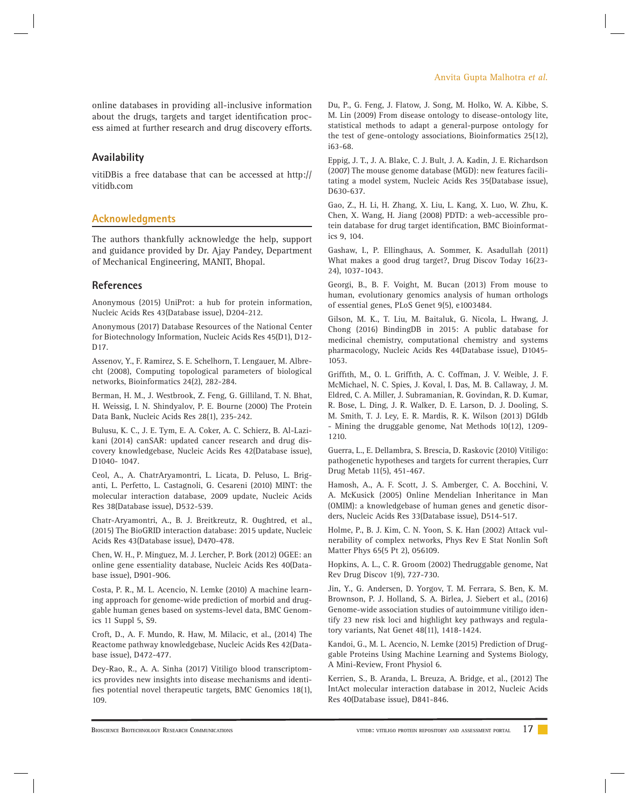#### **Availability**

vitiDBis a free database that can be accessed at http:// vitidb.com

#### **Acknowledgments**

The authors thankfully acknowledge the help, support and guidance provided by Dr. Ajay Pandey, Department of Mechanical Engineering, MANIT, Bhopal.

#### **References**

Anonymous (2015) UniProt: a hub for protein information, Nucleic Acids Res 43(Database issue), D204-212.

Anonymous (2017) Database Resources of the National Center for Biotechnology Information, Nucleic Acids Res 45(D1), D12- D17.

Assenov, Y., F. Ramirez, S. E. Schelhorn, T. Lengauer, M. Albrecht (2008), Computing topological parameters of biological networks, Bioinformatics 24(2), 282-284.

Berman, H. M., J. Westbrook, Z. Feng, G. Gilliland, T. N. Bhat, H. Weissig, I. N. Shindyalov, P. E. Bourne (2000) The Protein Data Bank, Nucleic Acids Res 28(1), 235-242.

Bulusu, K. C., J. E. Tym, E. A. Coker, A. C. Schierz, B. Al-Lazikani (2014) canSAR: updated cancer research and drug discovery knowledgebase, Nucleic Acids Res 42(Database issue), D1040- 1047.

Ceol, A., A. ChatrAryamontri, L. Licata, D. Peluso, L. Briganti, L. Perfetto, L. Castagnoli, G. Cesareni (2010) MINT: the molecular interaction database, 2009 update, Nucleic Acids Res 38(Database issue), D532-539.

Chatr-Aryamontri, A., B. J. Breitkreutz, R. Oughtred, et al., (2015) The BioGRID interaction database: 2015 update, Nucleic Acids Res 43(Database issue), D470-478.

Chen, W. H., P. Minguez, M. J. Lercher, P. Bork (2012) OGEE: an online gene essentiality database, Nucleic Acids Res 40(Database issue), D901-906.

Costa, P. R., M. L. Acencio, N. Lemke (2010) A machine learning approach for genome-wide prediction of morbid and druggable human genes based on systems-level data, BMC Genomics 11 Suppl 5, S9.

Croft, D., A. F. Mundo, R. Haw, M. Milacic, et al., (2014) The Reactome pathway knowledgebase, Nucleic Acids Res 42(Database issue), D472-477.

Dey-Rao, R., A. A. Sinha (2017) Vitiligo blood transcriptomics provides new insights into disease mechanisms and identifies potential novel therapeutic targets, BMC Genomics 18(1), 109.

Anvita Gupta Malhotra *et al.*

Du, P., G. Feng, J. Flatow, J. Song, M. Holko, W. A. Kibbe, S. M. Lin (2009) From disease ontology to disease-ontology lite, statistical methods to adapt a general-purpose ontology for the test of gene-ontology associations, Bioinformatics 25(12), i63-68.

Eppig, J. T., J. A. Blake, C. J. Bult, J. A. Kadin, J. E. Richardson (2007) The mouse genome database (MGD): new features facilitating a model system, Nucleic Acids Res 35(Database issue), D630-637.

Gao, Z., H. Li, H. Zhang, X. Liu, L. Kang, X. Luo, W. Zhu, K. Chen, X. Wang, H. Jiang (2008) PDTD: a web-accessible protein database for drug target identification, BMC Bioinformatics 9, 104.

Gashaw, I., P. Ellinghaus, A. Sommer, K. Asadullah (2011) What makes a good drug target?, Drug Discov Today 16(23- 24), 1037-1043.

Georgi, B., B. F. Voight, M. Bucan (2013) From mouse to human, evolutionary genomics analysis of human orthologs of essential genes, PLoS Genet 9(5), e1003484.

Gilson, M. K., T. Liu, M. Baitaluk, G. Nicola, L. Hwang, J. Chong (2016) BindingDB in 2015: A public database for medicinal chemistry, computational chemistry and systems pharmacology, Nucleic Acids Res 44(Database issue), D1045- 1053.

Griffith, M., O. L. Griffith, A. C. Coffman, J. V. Weible, J. F. McMichael, N. C. Spies, J. Koval, I. Das, M. B. Callaway, J. M. Eldred, C. A. Miller, J. Subramanian, R. Govindan, R. D. Kumar, R. Bose, L. Ding, J. R. Walker, D. E. Larson, D. J. Dooling, S. M. Smith, T. J. Ley, E. R. Mardis, R. K. Wilson (2013) DGIdb - Mining the druggable genome, Nat Methods 10(12), 1209- 1210.

Guerra, L., E. Dellambra, S. Brescia, D. Raskovic (2010) Vitiligo: pathogenetic hypotheses and targets for current therapies, Curr Drug Metab 11(5), 451-467.

Hamosh, A., A. F. Scott, J. S. Amberger, C. A. Bocchini, V. A. McKusick (2005) Online Mendelian Inheritance in Man (OMIM): a knowledgebase of human genes and genetic disorders, Nucleic Acids Res 33(Database issue), D514-517.

Holme, P., B. J. Kim, C. N. Yoon, S. K. Han (2002) Attack vulnerability of complex networks, Phys Rev E Stat Nonlin Soft Matter Phys 65(5 Pt 2), 056109.

Hopkins, A. L., C. R. Groom (2002) Thedruggable genome, Nat Rev Drug Discov 1(9), 727-730.

Jin, Y., G. Andersen, D. Yorgov, T. M. Ferrara, S. Ben, K. M. Brownson, P. J. Holland, S. A. Birlea, J. Siebert et al., (2016) Genome-wide association studies of autoimmune vitiligo identify 23 new risk loci and highlight key pathways and regulatory variants, Nat Genet 48(11), 1418-1424.

Kandoi, G., M. L. Acencio, N. Lemke (2015) Prediction of Druggable Proteins Using Machine Learning and Systems Biology, A Mini-Review, Front Physiol 6.

Kerrien, S., B. Aranda, L. Breuza, A. Bridge, et al., (2012) The IntAct molecular interaction database in 2012, Nucleic Acids Res 40(Database issue), D841-846.